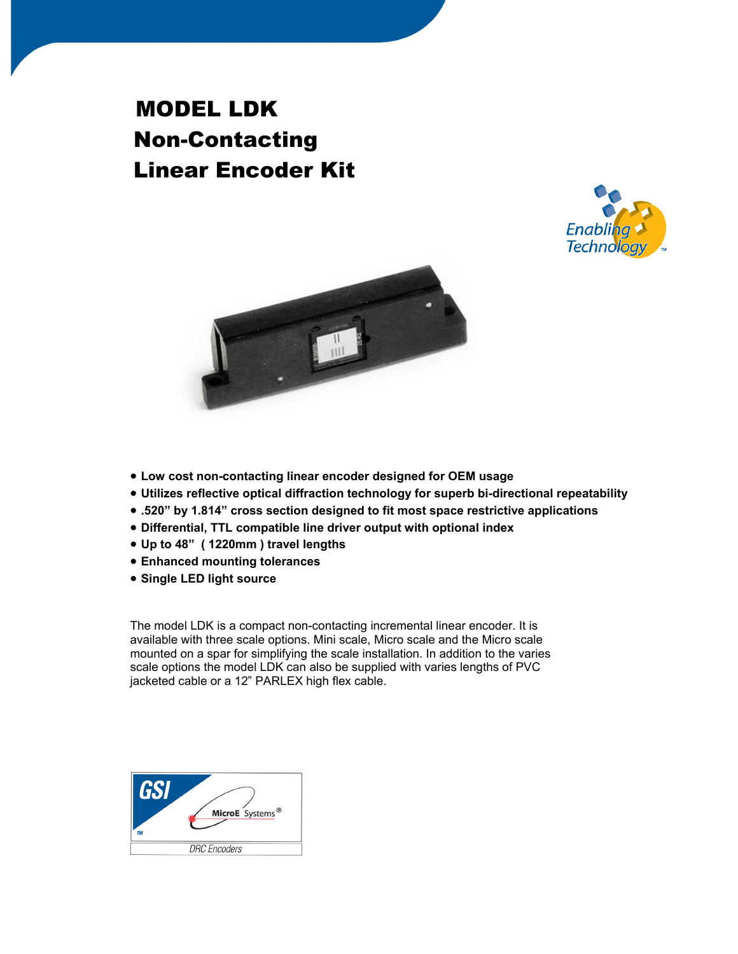# MODEL LDK Non-Contacting Linear Encoder Kit





- **Low cost non-contacting linear encoder designed for OEM usage**
- **Utilizes reflective optical diffraction technology for superb bi-directional repeatability**
- **.520" by 1.814" cross section designed to fit most space restrictive applications**
- **Differential, TTL compatible line driver output with optional index**
- **Up to 48" ( 1220mm ) travel lengths**
- **Enhanced mounting tolerances**
- **Single LED light source**

The model LDK is a compact non-contacting incremental linear encoder. It is available with three scale options. Mini scale, Micro scale and the Micro scale mounted on a spar for simplifying the scale installation. In addition to the varies scale options the model LDK can also be supplied with varies lengths of PVC jacketed cable or a 12" PARLEX high flex cable.

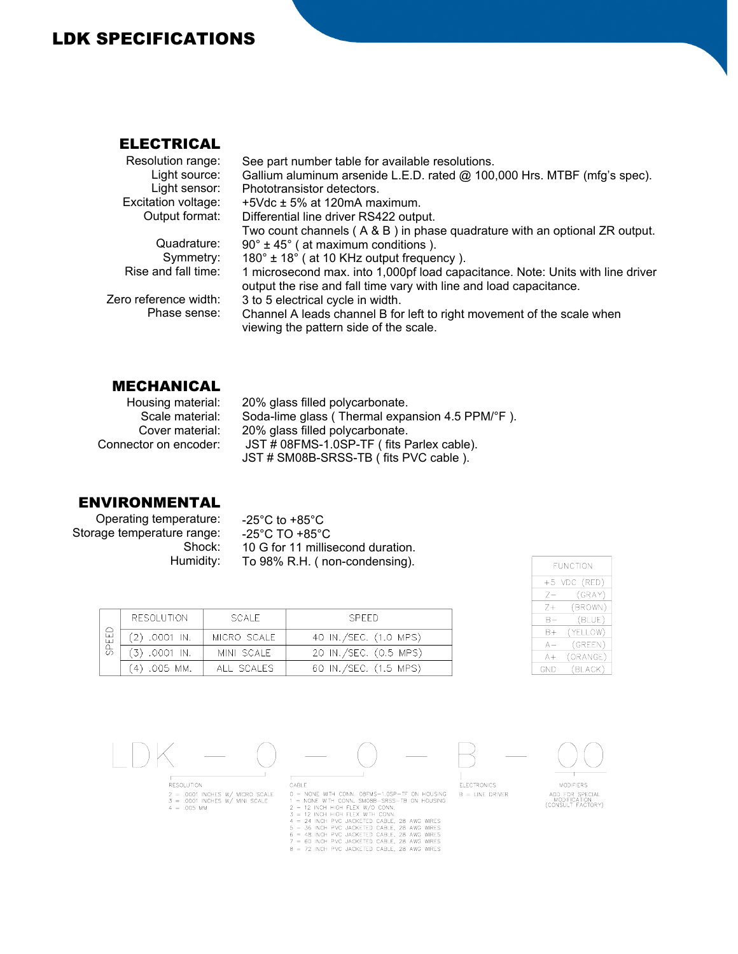## LDK SPECIFICATIONS

#### ELECTRICAL

| Resolution range:     | See part number table for available resolutions.                                                                                                     |
|-----------------------|------------------------------------------------------------------------------------------------------------------------------------------------------|
| Light source:         | Gallium aluminum arsenide L.E.D. rated @ 100,000 Hrs. MTBF (mfg's spec).                                                                             |
| Light sensor:         | Phototransistor detectors.                                                                                                                           |
| Excitation voltage:   | $+5$ Vdc $\pm$ 5% at 120mA maximum.                                                                                                                  |
| Output format:        | Differential line driver RS422 output.                                                                                                               |
|                       | Two count channels ( $A \& B$ ) in phase quadrature with an optional ZR output.                                                                      |
| Quadrature:           | $90^\circ \pm 45^\circ$ (at maximum conditions).                                                                                                     |
| Symmetry:             | 180° ± 18° (at 10 KHz output frequency).                                                                                                             |
| Rise and fall time:   | 1 microsecond max. into 1,000pf load capacitance. Note: Units with line driver<br>output the rise and fall time vary with line and load capacitance. |
| Zero reference width: | 3 to 5 electrical cycle in width.                                                                                                                    |
| Phase sense:          | Channel A leads channel B for left to right movement of the scale when<br>viewing the pattern side of the scale.                                     |
|                       |                                                                                                                                                      |

### MECHANICAL

| Housing material:     | 20% glass filled polycarbonate.                 |
|-----------------------|-------------------------------------------------|
| Scale material:       | Soda-lime glass (Thermal expansion 4.5 PPM/°F). |
| Cover material:       | 20% glass filled polycarbonate.                 |
| Connector on encoder: | JST # 08FMS-1.0SP-TF (fits Parlex cable).       |
|                       | JST # SM08B-SRSS-TB (fits PVC cable).           |

#### ENVIRONMENTAL

Operating temperature: Storage temperature range: Shock: Humidity: -25°C to +85°C -25°C TO +85°C 10 G for 11 millisecond duration. To 98% R.H. ( non-condensing).

| FUNCTION   |              |  |  |  |
|------------|--------------|--|--|--|
|            | +5 VDC (RED) |  |  |  |
| 7–         | (GRAY)       |  |  |  |
| $7+$       | (BROWN)      |  |  |  |
| B-         | (BLUE)       |  |  |  |
| B+         | (YELLOW)     |  |  |  |
| А —        | (GREEN)      |  |  |  |
| A+         | (ORANGE)     |  |  |  |
| <b>GND</b> | (BLACK)      |  |  |  |

| RESOLUTION |                 | SCALE.      | SPEED.                |
|------------|-----------------|-------------|-----------------------|
| SPEEI      | $(2)$ .0001 IN. | MICRO SCALE | 40 IN./SEC. (1.0 MPS) |
|            | $(3)$ .0001 IN. | MINI SCALE  | 20 IN./SEC. (0.5 MPS) |
|            | (4) .005 MM.    | ALL SCALES  | 60 IN./SEC. (1.5 MPS) |

RESOLUTION  $2 = .0001$  INCHES W/ MICRO SCALE<br> $3 = .0001$  INCHES W/ MINI SCALE<br> $4 = .005$  MM

 $CABLE$ CABLE MONE WITH CONN. OBFMS-1.0SP-TF ON HOUSING<br>1 = NONE WITH CONN. SMOBB-SRSS-TB ON HOUSING<br>2 = 12 INCH HIGH FLEX W/D CONN.<br>3 = 12 INCH HIGH FLEX WITH CONN.<br>4 = 24 INCH PVC JACKETED CABLE, 28 AWG WIRES<br>5 = 36 INCH PVC JAC

- 
- 



**MODIFIERS** ADD FOR SPECIAL<br>MODIFICATION<br>(CONSULT FACTORY)

**ELECTRONICS** 

 $B = LINE DRIVER$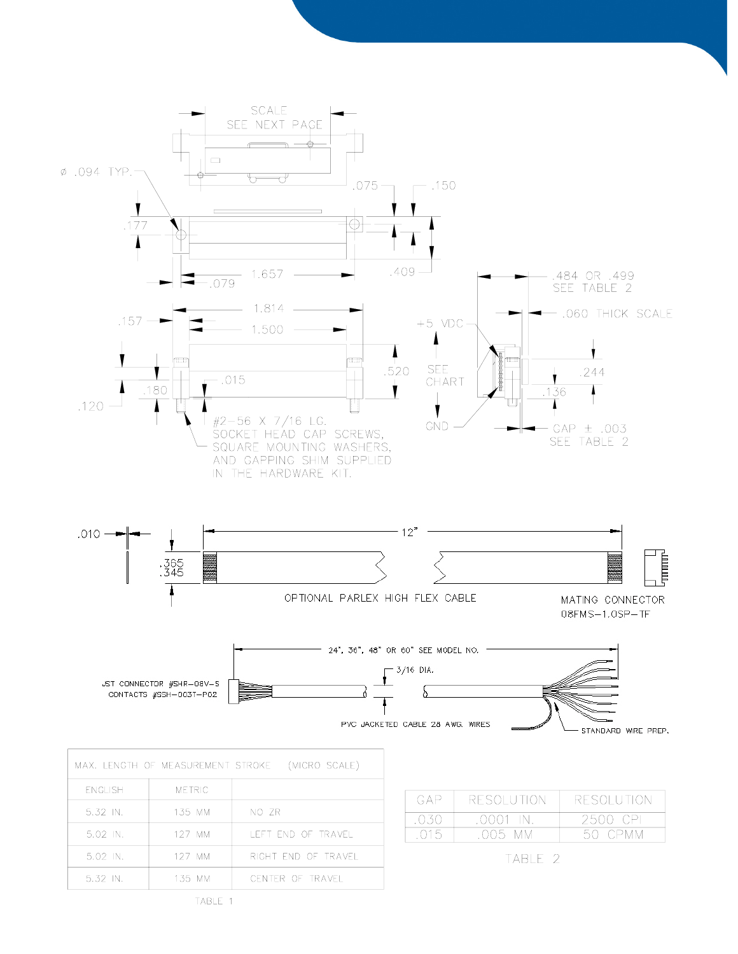